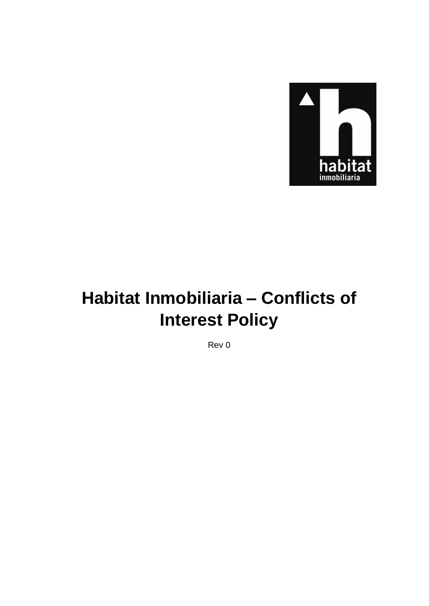

# Habitat Inmobiliaria - Conflicts of **Interest Policy**

Rev 0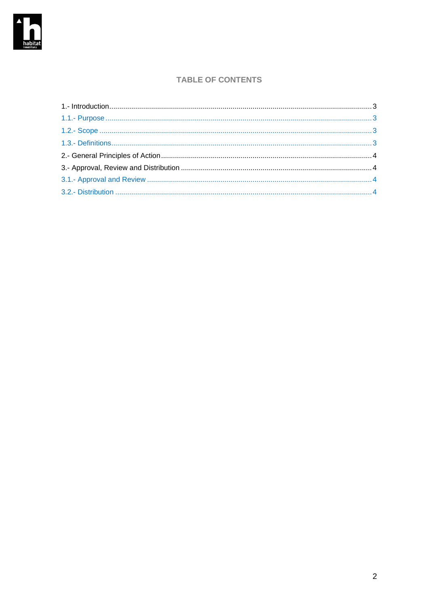

### **TABLE OF CONTENTS**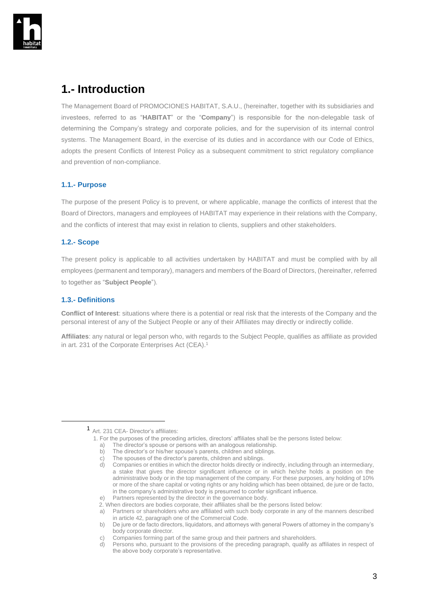

### <span id="page-2-0"></span>**1.- Introduction**

The Management Board of PROMOCIONES HABITAT, S.A.U., (hereinafter, together with its subsidiaries and investees, referred to as "**HABITAT**" or the "**Company**") is responsible for the non-delegable task of determining the Company's strategy and corporate policies, and for the supervision of its internal control systems. The Management Board, in the exercise of its duties and in accordance with our Code of Ethics, adopts the present Conflicts of Interest Policy as a subsequent commitment to strict regulatory compliance and prevention of non-compliance.

#### <span id="page-2-1"></span>**1.1.- Purpose**

The purpose of the present Policy is to prevent, or where applicable, manage the conflicts of interest that the Board of Directors, managers and employees of HABITAT may experience in their relations with the Company, and the conflicts of interest that may exist in relation to clients, suppliers and other stakeholders.

#### <span id="page-2-2"></span>**1.2.- Scope**

The present policy is applicable to all activities undertaken by HABITAT and must be complied with by all employees (permanent and temporary), managers and members of the Board of Directors, (hereinafter, referred to together as "**Subject People**").

#### <span id="page-2-3"></span>**1.3.- Definitions**

**Conflict of Interest**: situations where there is a potential or real risk that the interests of the Company and the personal interest of any of the Subject People or any of their Affiliates may directly or indirectly collide.

**Affiliates**: any natural or legal person who, with regards to the Subject People, qualifies as affiliate as provided in art. 231 of the Corporate Enterprises Act (CEA).<sup>1</sup>

<sup>1</sup> Art. 231 CEA- Director's affiliates:

 <sup>1.</sup> For the purposes of the preceding articles, directors' affiliates shall be the persons listed below:

a) The director's spouse or persons with an analogous relationship.

b) The director's or his/her spouse's parents, children and siblings.

c) The spouses of the director's parents, children and siblings.<br>d) Companies or entities in which the director holds directly or in

Companies or entities in which the director holds directly or indirectly, including through an intermediary, a stake that gives the director significant influence or in which he/she holds a position on the administrative body or in the top management of the company. For these purposes, any holding of 10% or more of the share capital or voting rights or any holding which has been obtained, de jure or de facto, in the company's administrative body is presumed to confer significant influence.

e) Partners represented by the director in the governance body.

 <sup>2.</sup> When directors are bodies corporate, their affiliates shall be the persons listed below:

a) Partners or shareholders who are affiliated with such body corporate in any of the manners described in article 42, paragraph one of the Commercial Code.

b) De jure or de facto directors, liquidators, and attorneys with general Powers of attorney in the company's body corporate director.

c) Companies forming part of the same group and their partners and shareholders.

d) Persons who, pursuant to the provisions of the preceding paragraph, qualify as affiliates in respect of the above body corporate's representative.